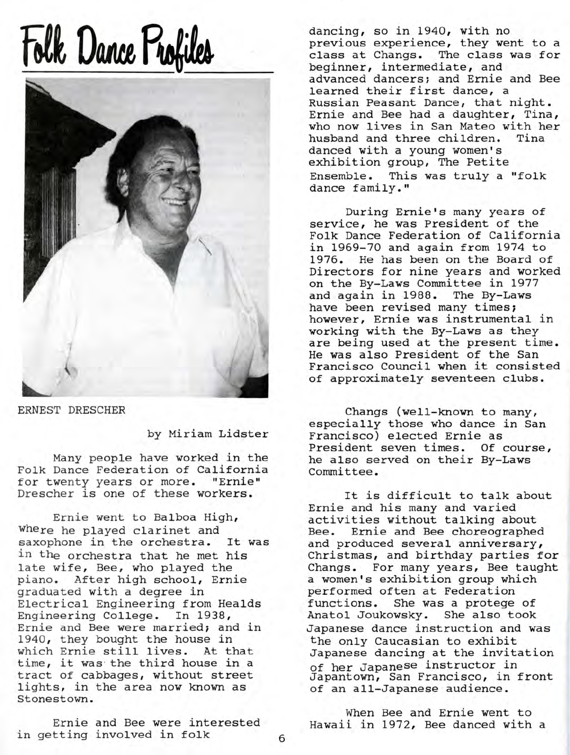## **Folk Dance Profiles**



ERNEST DRESCHER

by Miriam Lidster

Many people have worked in the Folk Dance Federation of California for twenty years or more. "Ernie" Drescher is one of these workers.

Ernie went to Balboa High, where he played clarinet and saxophone in the orchestra. It was in the orchestra that he met his late wife, Bee, who played the piano. After high school, Ernie graduated with a degree in Electrical Engineering from Healds Engineering College. In 1938/ Ernie and Bee were married; and in 1940, they bought the house in which Ernie still lives. At that time, it was the third house in a tract of cabbages, without street lights, in the area now known as Stonestown.

Ernie and Bee were interested in getting involved in folk

dancing, so in 1940, with no previous experience, they went to a class at Changs. The class was for beginner, intermediate, and advanced dancers; and Ernie and Bee learned their first dance, a Russian Peasant Dance, that night. Ernie and Bee had a daughter, Tina, who now lives in San Mateo with her husband and three children. Tina danced with a young women's exhibition group, The Petite Ensemble. This was truly a "folk dance family."

During Ernie's many years of service, he was President of the Folk Dance Federation of California in 1969-70 and again from 1974 to 1976. He has been on the Board of Directors for nine years and worked on the By-Laws Committee in 1977 and again in 1988. The By-Laws have been revised many times; however, Ernie was instrumental in working with the By-Laws as they are being used at the present time. He was also President of the San Francisco Council when it consisted of approximately seventeen clubs.

Changs (well-known to many, especially those who dance in San Francisco) elected Ernie as President seven times. Of course, he also served on their By-Laws Committee.

It is difficult to talk about Ernie and his many and varied activities without talking about Bee. Ernie and Bee choreographed and produced several anniversary, Christmas, and birthday parties for Changs. For many years, Bee taught a women's exhibition group which performed often at Federation functions. She was a protege of Anatol Joukowsky. She also took Japanese dance instruction and was the only Caucasian to exhibit Japanese dancing at the invitation of her Japanese instructor in Japantown, San Francisco, in front of an all-Japanese audience.

When Bee and Ernie went to Hawaii in 1972, Bee danced with a